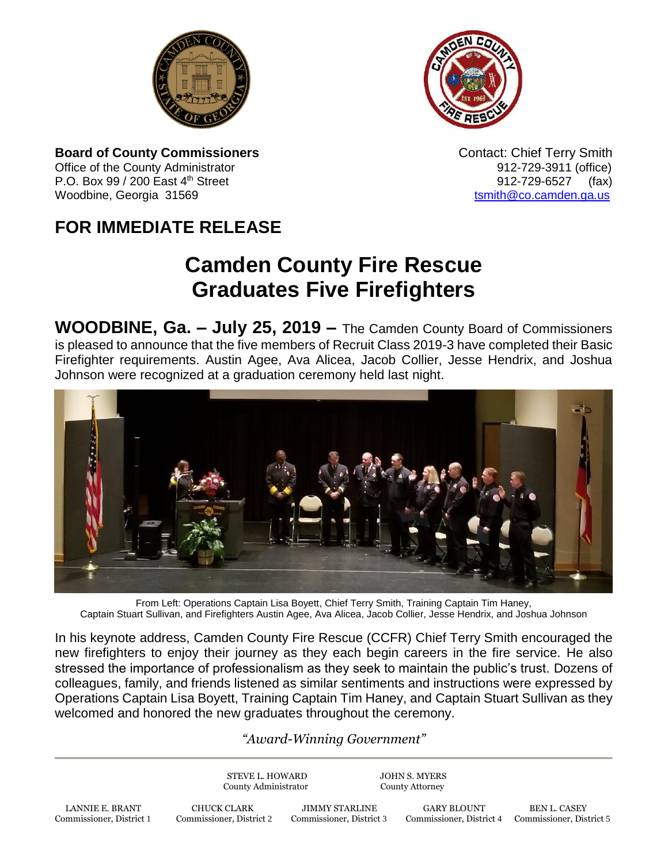



**Board of County Commissioners Contact: Chief Terry Smith Contact: Chief Terry Smith** Office of the County Administrator 61 and 2012-729-3911 (office) P.O. Box 99 / 200 East 4<sup>th</sup> Street 912-729-6527 (fax) Woodbine, Georgia 31569 to the control of the control of the control of the control of the control of the control of the control of the control of the control of the control of the control of the control of the control of

## **FOR IMMEDIATE RELEASE**

## **Camden County Fire Rescue Graduates Five Firefighters**

**WOODBINE, Ga. – July 25, 2019 –** The Camden County Board of Commissioners is pleased to announce that the five members of Recruit Class 2019-3 have completed their Basic Firefighter requirements. Austin Agee, Ava Alicea, Jacob Collier, Jesse Hendrix, and Joshua Johnson were recognized at a graduation ceremony held last night.



From Left: Operations Captain Lisa Boyett, Chief Terry Smith, Training Captain Tim Haney, Captain Stuart Sullivan, and Firefighters Austin Agee, Ava Alicea, Jacob Collier, Jesse Hendrix, and Joshua Johnson

In his keynote address, Camden County Fire Rescue (CCFR) Chief Terry Smith encouraged the new firefighters to enjoy their journey as they each begin careers in the fire service. He also stressed the importance of professionalism as they seek to maintain the public's trust. Dozens of colleagues, family, and friends listened as similar sentiments and instructions were expressed by Operations Captain Lisa Boyett, Training Captain Tim Haney, and Captain Stuart Sullivan as they welcomed and honored the new graduates throughout the ceremony.

## *"Award-Winning Government"*

STEVE L. HOWARD JOHN S. MYERS County Administrator County Attorney